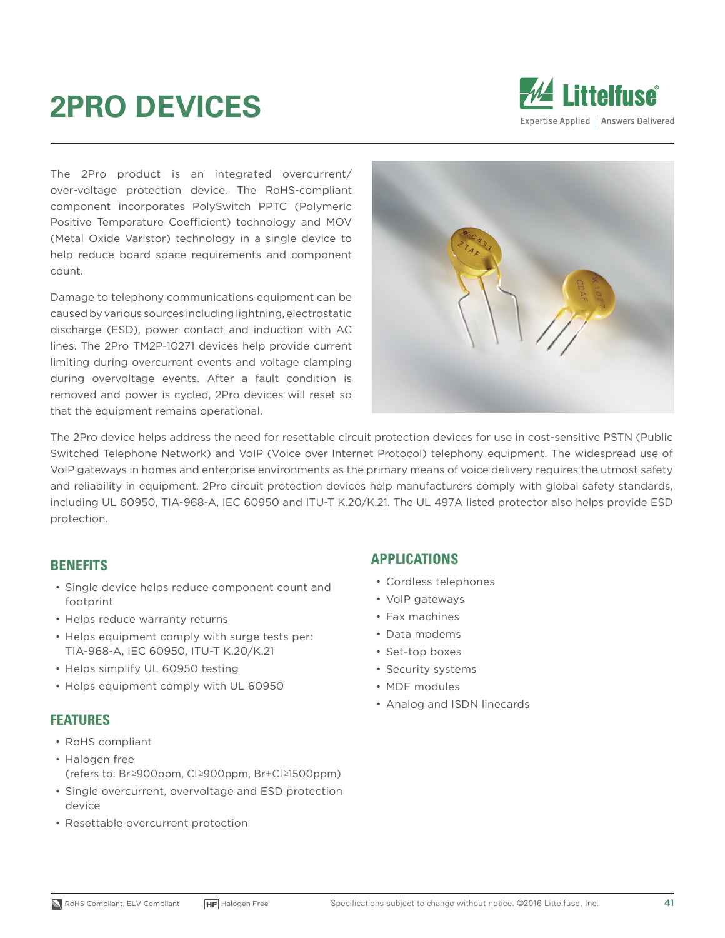# **2PRO DEVICES**



The 2Pro product is an integrated overcurrent/ over-voltage protection device. The RoHS-compliant component incorporates PolySwitch PPTC (Polymeric Positive Temperature Coefficient) technology and MOV (Metal Oxide Varistor) technology in a single device to help reduce board space requirements and component count.

Damage to telephony communications equipment can be caused by various sources including lightning, electrostatic discharge (ESD), power contact and induction with AC lines. The 2Pro TM2P-10271 devices help provide current limiting during overcurrent events and voltage clamping during overvoltage events. After a fault condition is removed and power is cycled, 2Pro devices will reset so that the equipment remains operational.



The 2Pro device helps address the need for resettable circuit protection devices for use in cost-sensitive PSTN (Public Switched Telephone Network) and VoIP (Voice over Internet Protocol) telephony equipment. The widespread use of VoIP gateways in homes and enterprise environments as the primary means of voice delivery requires the utmost safety and reliability in equipment. 2Pro circuit protection devices help manufacturers comply with global safety standards, including UL 60950, TIA-968-A, IEC 60950 and ITU-T K.20/K.21. The UL 497A listed protector also helps provide ESD protection.

#### **BENEFITS**

- Single device helps reduce component count and footprint
- Helps reduce warranty returns
- Helps equipment comply with surge tests per: TIA-968-A, IEC 60950, ITU-T K.20/K.21
- Helps simplify UL 60950 testing
- Helps equipment comply with UL 60950

#### **FEATURES**

- RoHS compliant
- Halogen free (refers to: Br≥900ppm, Cl≥900ppm, Br+Cl≥1500ppm)
- Single overcurrent, overvoltage and ESD protection device
- Resettable overcurrent protection

#### **APPLICATIONS**

- Cordless telephones
- VoIP gateways
- Fax machines
- Data modems
- Set-top boxes
- Security systems
- MDF modules
- Analog and ISDN linecards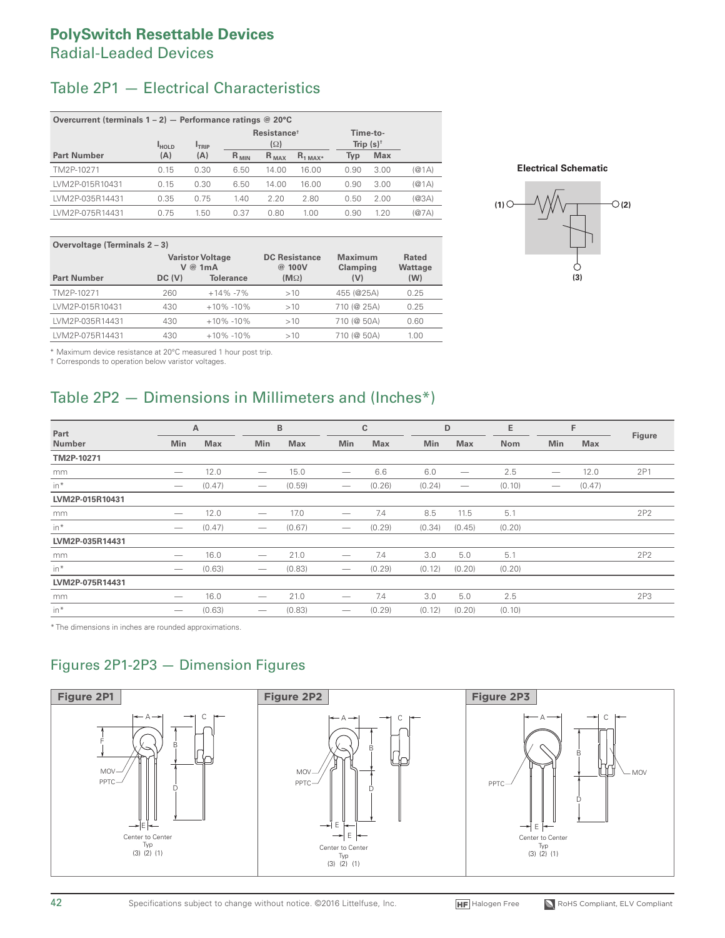#### **PolySwitch Resettable Devices** Radial-Leaded Devices

# Table 2P1 — Electrical Characteristics

| Overcurrent (terminals $1 - 2$ ) - Performance ratings @ 20°C                                           |      |      |           |           |               |      |            |       |
|---------------------------------------------------------------------------------------------------------|------|------|-----------|-----------|---------------|------|------------|-------|
| Resistance <sup>+</sup><br>Time-to-<br>Trip $(s)^{\dagger}$<br>$(\Omega)$<br><b>HOLD</b><br><b>TRIP</b> |      |      |           |           |               |      |            |       |
| <b>Part Number</b>                                                                                      | (A)  | (A)  | $R_{MIN}$ | $R_{MAX}$ | $R_{1 MAX^*}$ | Typ  | <b>Max</b> |       |
| TM2P-10271                                                                                              | 0.15 | 0.30 | 6.50      | 14.00     | 16.00         | 0.90 | 3.00       | (Q(1) |
| LVM2P-015R10431                                                                                         | 0.15 | 0.30 | 6.50      | 14.00     | 16.00         | 0.90 | 3.00       | (@1A) |
| LVM2P-035R14431                                                                                         | 0.35 | 0.75 | 1.40      | 2.20      | 2.80          | 0.50 | 2.00       | (@3A) |
| LVM2P-075R14431                                                                                         | 0.75 | 1.50 | 0.37      | 0.80      | 1.00          | 0.90 | 1.20       | (@7A) |

| Overvoltage (Terminals 2 – 3) |        |                                    |                                |                            |                  |  |  |  |  |
|-------------------------------|--------|------------------------------------|--------------------------------|----------------------------|------------------|--|--|--|--|
|                               |        | <b>Varistor Voltage</b><br>V @ 1mA | <b>DC Resistance</b><br>@ 100V | <b>Maximum</b><br>Clamping | Rated<br>Wattage |  |  |  |  |
| <b>Part Number</b>            | DC (V) | <b>Tolerance</b>                   | $(M\Omega)$                    | (V)                        | (W)              |  |  |  |  |
| TM2P-10271                    | 260    | $+14\% -7\%$                       | >10                            | 455 (@25A)                 | 0.25             |  |  |  |  |
| LVM2P-015R10431               | 430    | $+10\% -10\%$                      | >10                            | 710 (@ 25A)                | 0.25             |  |  |  |  |
| LVM2P-035R14431               | 430    | $+10\% -10\%$                      | >10                            | 710 (@ 50A)                | 0.60             |  |  |  |  |
| LVM2P-075R14431               | 430    | $+10\% -10\%$                      | >10                            | 710 (@ 50A)                | 1.00             |  |  |  |  |

**Electrical Schematic**



\* Maximum device resistance at 20°C measured 1 hour post trip.

† Corresponds to operation below varistor voltages.

# Table 2P2 — Dimensions in Millimeters and (Inches\*)

| Part            |                          | Α          |                                       | B          |                                 | $\mathbb C$ | D      |                                 | E      |                               | F      |        |
|-----------------|--------------------------|------------|---------------------------------------|------------|---------------------------------|-------------|--------|---------------------------------|--------|-------------------------------|--------|--------|
| <b>Number</b>   | Min                      | <b>Max</b> | Min                                   | <b>Max</b> | Min                             | <b>Max</b>  | Min    | <b>Max</b>                      | Nom    | Min                           | Max    | Figure |
| TM2P-10271      |                          |            |                                       |            |                                 |             |        |                                 |        |                               |        |        |
| mm              | $\overline{\phantom{a}}$ | 12.0       | $\overline{\phantom{m}}$              | 15.0       | $\hspace{0.1mm}-\hspace{0.1mm}$ | 6.6         | 6.0    |                                 | 2.5    | $\overbrace{\phantom{12333}}$ | 12.0   | 2P1    |
| in*             |                          | (0.47)     | $\hspace{0.1mm}-\hspace{0.1mm}$       | (0.59)     |                                 | (0.26)      | (0.24) | $\hspace{0.1mm}-\hspace{0.1mm}$ | (0.10) | $\overline{\phantom{m}}$      | (0.47) |        |
| LVM2P-015R10431 |                          |            |                                       |            |                                 |             |        |                                 |        |                               |        |        |
| mm              |                          | 12.0       | $\hspace{1.0cm} \rule{1.5cm}{0.15cm}$ | 17.0       |                                 | 7.4         | 8.5    | 11.5                            | 5.1    |                               |        | 2P2    |
| $in$ *          |                          | (0.47)     | $\overline{\phantom{m}}$              | (0.67)     | $\hspace{0.1mm}-\hspace{0.1mm}$ | (0.29)      | (0.34) | (0.45)                          | (0.20) |                               |        |        |
| LVM2P-035R14431 |                          |            |                                       |            |                                 |             |        |                                 |        |                               |        |        |
| mm              | -                        | 16.0       | $\overline{\phantom{m}}$              | 21.0       | $\overline{\phantom{m}}$        | 7.4         | 3.0    | 5.0                             | 5.1    |                               |        | 2P2    |
| $in$ *          |                          | (0.63)     | $\hspace{0.1mm}-\hspace{0.1mm}$       | (0.83)     | $\hspace{0.1mm}-\hspace{0.1mm}$ | (0.29)      | (0.12) | (0.20)                          | (0.20) |                               |        |        |
| LVM2P-075R14431 |                          |            |                                       |            |                                 |             |        |                                 |        |                               |        |        |
| mm              |                          | 16.0       |                                       | 21.0       |                                 | 7.4         | 3.0    | 5.0                             | 2.5    |                               |        | 2P3    |
| $in$ *          |                          | (0.63)     |                                       | (0.83)     |                                 | (0.29)      | (0.12) | (0.20)                          | (0.10) |                               |        |        |

\* The dimensions in inches are rounded approximations.

# Figures 2P1-2P3 — Dimension Figures

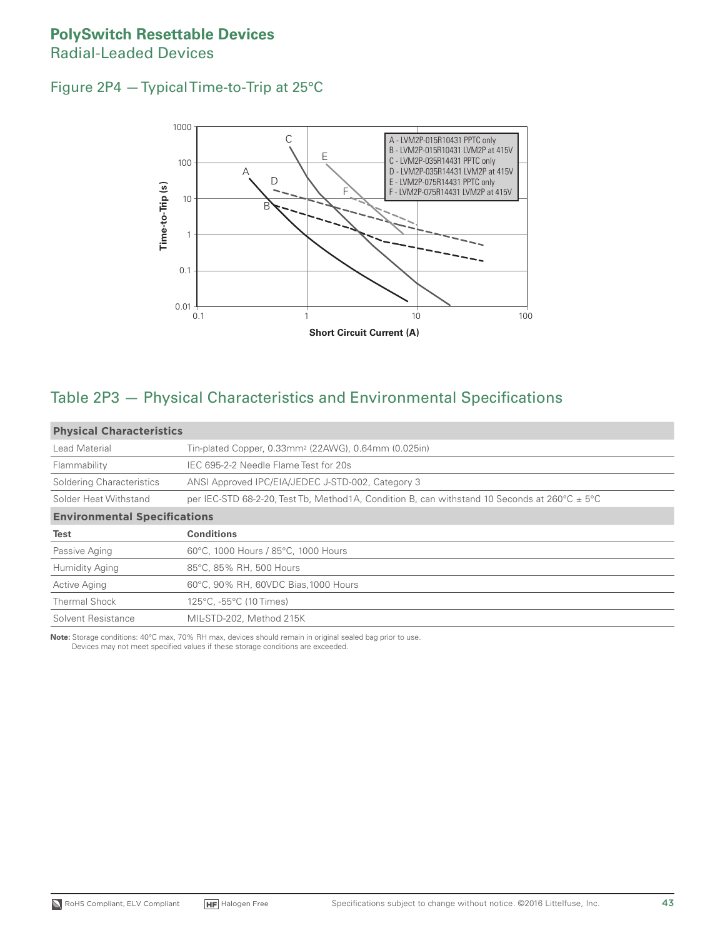#### **PolySwitch Resettable Devices** Radial-Leaded Devices

#### Figure 2P4 — Typical Time-to-Trip at 25°C



#### Table 2P3 — Physical Characteristics and Environmental Specifications

| <b>Physical Characteristics</b>     |                                                                                                             |  |  |  |  |  |
|-------------------------------------|-------------------------------------------------------------------------------------------------------------|--|--|--|--|--|
| Lead Material                       | Tin-plated Copper, 0.33mm <sup>2</sup> (22AWG), 0.64mm (0.025in)                                            |  |  |  |  |  |
| Flammability                        | IEC 695-2-2 Needle Flame Test for 20s                                                                       |  |  |  |  |  |
| Soldering Characteristics           | ANSI Approved IPC/EIA/JEDEC J-STD-002, Category 3                                                           |  |  |  |  |  |
| Solder Heat Withstand               | per IEC-STD 68-2-20, Test Tb, Method 1A, Condition B, can withstand 10 Seconds at $260^{\circ}$ C $\pm$ 5°C |  |  |  |  |  |
| <b>Environmental Specifications</b> |                                                                                                             |  |  |  |  |  |
| Test                                | <b>Conditions</b>                                                                                           |  |  |  |  |  |
| Passive Aging                       | 60°C, 1000 Hours / 85°C, 1000 Hours                                                                         |  |  |  |  |  |
| <b>Humidity Aging</b>               | 85°C, 85% RH, 500 Hours                                                                                     |  |  |  |  |  |
| <b>Active Aging</b>                 | 60°C, 90% RH, 60VDC Bias, 1000 Hours                                                                        |  |  |  |  |  |
| <b>Thermal Shock</b>                | 125°C, -55°C (10 Times)                                                                                     |  |  |  |  |  |
| Solvent Resistance                  | MIL-STD-202, Method 215K                                                                                    |  |  |  |  |  |

**Note:** Storage conditions: 40°C max, 70% RH max, devices should remain in original sealed bag prior to use. Devices may not meet specified values if these storage conditions are exceeded.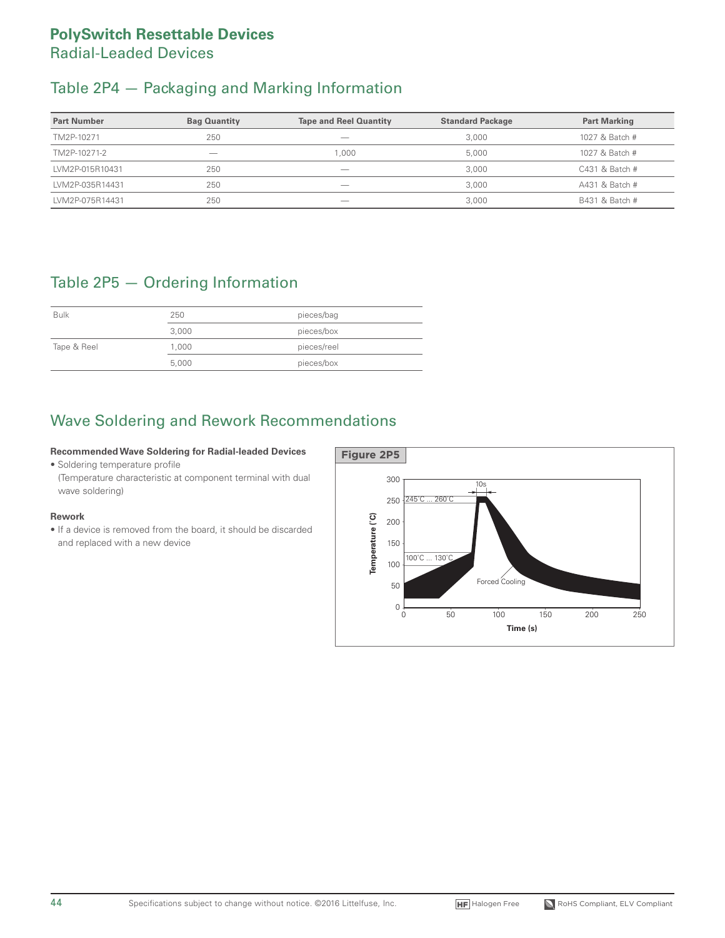#### **PolySwitch Resettable Devices** Radial-Leaded Devices

# Table 2P4 — Packaging and Marking Information

| <b>Part Number</b> | <b>Bag Quantity</b>      | <b>Tape and Reel Quantity</b> | <b>Standard Package</b> | <b>Part Marking</b> |
|--------------------|--------------------------|-------------------------------|-------------------------|---------------------|
| TM2P-10271         | 250                      | __                            | 3,000                   | 1027 & Batch #      |
| TM2P-10271-2       | $\overline{\phantom{a}}$ | .000                          | 5.000                   | 1027 & Batch #      |
| LVM2P-015R10431    | 250                      | _                             | 3,000                   | $C431$ & Batch #    |
| LVM2P-035R14431    | 250                      | _                             | 3.000                   | A431 & Batch #      |
| LVM2P-075R14431    | 250                      | _                             | 3,000                   | B431 & Batch #      |

# Table 2P5 — Ordering Information

| <b>Bulk</b> | 250   | pieces/bag  |
|-------------|-------|-------------|
|             | 3,000 | pieces/box  |
| Tape & Reel | 1.000 | pieces/reel |
|             | 5,000 | pieces/box  |

# Wave Soldering and Rework Recommendations

#### **Recommended Wave Soldering for Radial-leaded Devices**

• Soldering temperature profile

(Temperature characteristic at component terminal with dual wave soldering)

#### **Rework**

• If a device is removed from the board, it should be discarded and replaced with a new device

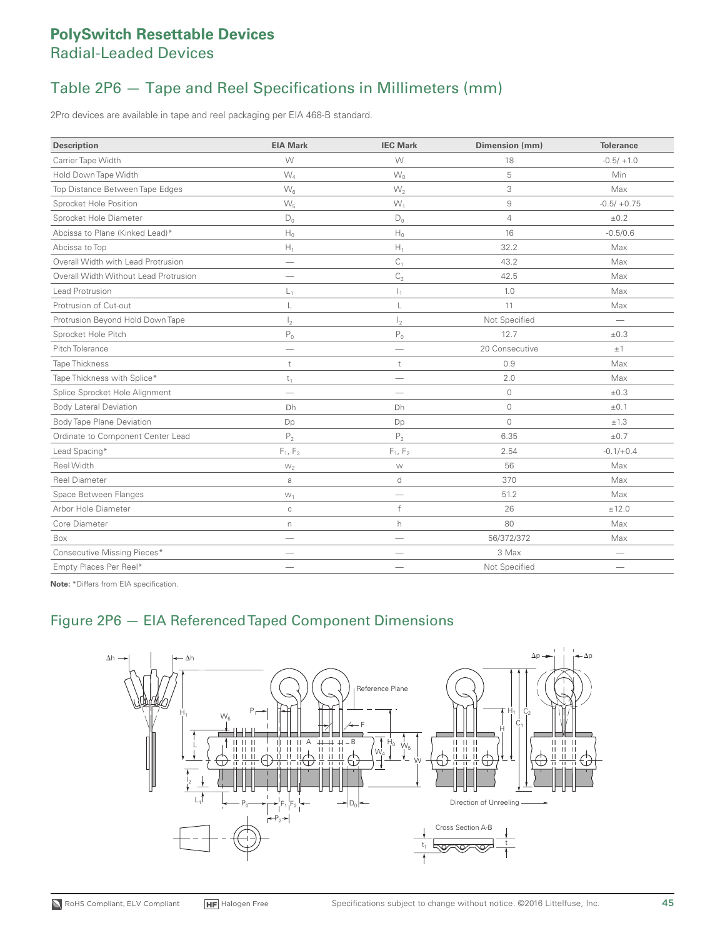# Table 2P6 — Tape and Reel Specifications in Millimeters (mm)

2Pro devices are available in tape and reel packaging per EIA 468-B standard.

| <b>Description</b>                    | <b>EIA Mark</b>          | <b>IEC Mark</b> | Dimension (mm) | <b>Tolerance</b>         |
|---------------------------------------|--------------------------|-----------------|----------------|--------------------------|
| Carrier Tape Width                    | W                        | W               | 18             | $-0.5/ +1.0$             |
| Hold Down Tape Width                  | $W_4$                    | $W_0$           | 5              | Min                      |
| Top Distance Between Tape Edges       | $W_6$                    | $W_2$           | 3              | Max                      |
| Sprocket Hole Position                | $W_5$                    | $W_1$           | 9              | $-0.5/ +0.75$            |
| Sprocket Hole Diameter                | $D_0$                    | $\mathsf{D}_0$  | $\overline{4}$ | ±0.2                     |
| Abcissa to Plane (Kinked Lead)*       | $\mathsf{H}_0$           | $\mathsf{H}_0$  | 16             | $-0.5/0.6$               |
| Abcissa to Top                        | $\mathsf{H}_1$           | $H_1$           | 32.2           | Max                      |
| Overall Width with Lead Protrusion    | $\overline{\phantom{m}}$ | C <sub>1</sub>  | 43.2           | Max                      |
| Overall Width Without Lead Protrusion | -                        | $\mathsf{C}_2$  | 42.5           | Max                      |
| Lead Protrusion                       | L,                       | I,              | 1.0            | Max                      |
| Protrusion of Cut-out                 | L                        | L               | 11             | Max                      |
| Protrusion Beyond Hold Down Tape      | $\mathsf{I}_2$           | $\mathsf{I}_2$  | Not Specified  | $\overline{\phantom{a}}$ |
| Sprocket Hole Pitch                   | $\mathsf{P}_0$           | $\mathsf{P}_0$  | 12.7           | ±0.3                     |
| Pitch Tolerance                       | -                        |                 | 20 Consecutive | $\pm$ 1                  |
| <b>Tape Thickness</b>                 | t                        | t               | 0.9            | Max                      |
| Tape Thickness with Splice*           | $t_1$                    | -               | 2.0            | Max                      |
| Splice Sprocket Hole Alignment        |                          |                 | $\circ$        | $\pm 0.3$                |
| <b>Body Lateral Deviation</b>         | Dh                       | Dh              | $\circ$        | $\pm 0.1$                |
| <b>Body Tape Plane Deviation</b>      | Dp                       | Dp              | $\circ$        | ±1.3                     |
| Ordinate to Component Center Lead     | P <sub>2</sub>           | P <sub>2</sub>  | 6.35           | $\pm 0.7$                |
| Lead Spacing*                         | $F_1, F_2$               | $F_1, F_2$      | 2.54           | $-0.1/+0.4$              |
| Reel Width                            | $W_2$                    | ${\mathsf W}$   | 56             | Max                      |
| <b>Reel Diameter</b>                  | $\mbox{a}$               | d               | 370            | Max                      |
| Space Between Flanges                 | $W_1$                    | -               | 51.2           | Max                      |
| Arbor Hole Diameter                   | $\mathbb C$              | f               | 26             | ±12.0                    |
| Core Diameter                         | n                        | h               | 80             | Max                      |
| Box                                   |                          |                 | 56/372/372     | Max                      |
| Consecutive Missing Pieces*           |                          |                 | 3 Max          |                          |
| Empty Places Per Reel*                |                          |                 | Not Specified  |                          |

**Note:** \*Differs from EIA specification.

#### Figure 2P6 — EIA Referenced Taped Component Dimensions